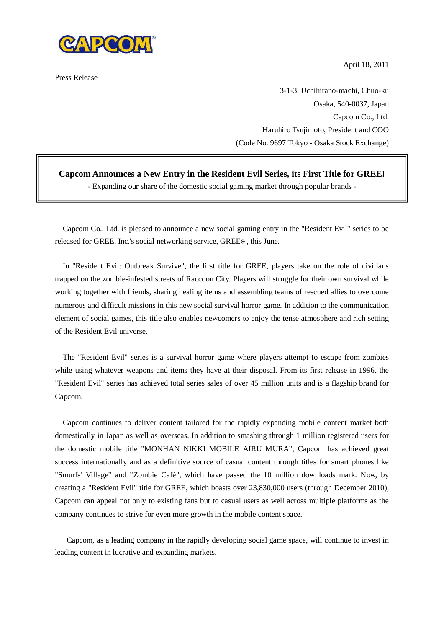

Press Release

April 18, 2011

3-1-3, Uchihirano-machi, Chuo-ku Osaka, 540-0037, Japan Capcom Co., Ltd. Haruhiro Tsujimoto, President and COO (Code No. 9697 Tokyo - Osaka Stock Exchange)

## **Capcom Announces a New Entry in the Resident Evil Series, its First Title for GREE!**

- Expanding our share of the domestic social gaming market through popular brands -

Capcom Co., Ltd. is pleased to announce a new social gaming entry in the "Resident Evil" series to be released for GREE, Inc.'s social networking service, GREE , this June.

In "Resident Evil: Outbreak Survive", the first title for GREE, players take on the role of civilians trapped on the zombie-infested streets of Raccoon City. Players will struggle for their own survival while working together with friends, sharing healing items and assembling teams of rescued allies to overcome numerous and difficult missions in this new social survival horror game. In addition to the communication element of social games, this title also enables newcomers to enjoy the tense atmosphere and rich setting of the Resident Evil universe.

The "Resident Evil" series is a survival horror game where players attempt to escape from zombies while using whatever weapons and items they have at their disposal. From its first release in 1996, the "Resident Evil" series has achieved total series sales of over 45 million units and is a flagship brand for Capcom.

Capcom continues to deliver content tailored for the rapidly expanding mobile content market both domestically in Japan as well as overseas. In addition to smashing through 1 million registered users for the domestic mobile title "MONHAN NIKKI MOBILE AIRU MURA", Capcom has achieved great success internationally and as a definitive source of casual content through titles for smart phones like "Smurfs' Village" and "Zombie Café", which have passed the 10 million downloads mark. Now, by creating a "Resident Evil" title for GREE, which boasts over 23,830,000 users (through December 2010), Capcom can appeal not only to existing fans but to casual users as well across multiple platforms as the company continues to strive for even more growth in the mobile content space.

Capcom, as a leading company in the rapidly developing social game space, will continue to invest in leading content in lucrative and expanding markets.